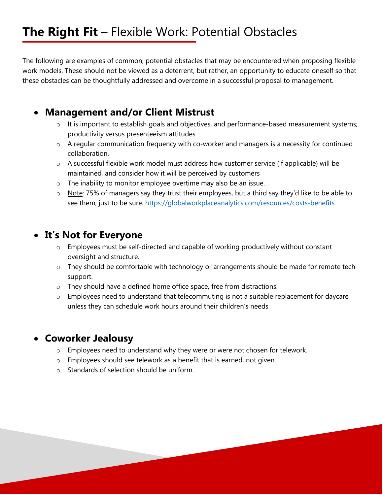# **The Right Fit** – Flexible Work: Potential Obstacles

The following are examples of common, potential obstacles that may be encountered when proposing flexible work models. These should not be viewed as a deterrent, but rather, an opportunity to educate oneself so that these obstacles can be thoughtfully addressed and overcome in a successful proposal to management.

### **Management and/or Client Mistrust**

- o It is important to establish goals and objectives, and performance-based measurement systems; productivity versus presenteeism attitudes
- o A regular communication frequency with co-worker and managers is a necessity for continued collaboration.
- o A successful flexible work model must address how customer service (if applicable) will be maintained, and consider how it will be perceived by customers
- o The inability to monitor employee overtime may also be an issue.
- o Note: 75% of managers say they trust their employees, but a third say they'd like to be able to see them, just to be sure. https://globalworkplaceanalytics.com/resources/costs-benefits

## **It's Not for Everyone**

- o Employees must be self-directed and capable of working productively without constant oversight and structure.
- o They should be comfortable with technology or arrangements should be made for remote tech support.
- o They should have a defined home office space, free from distractions.
- $\circ$  Employees need to understand that telecommuting is not a suitable replacement for daycare unless they can schedule work hours around their children's needs

## **Coworker Jealousy**

- o Employees need to understand why they were or were not chosen for telework.
- o Employees should see telework as a benefit that is earned, not given.
- o Standards of selection should be uniform.